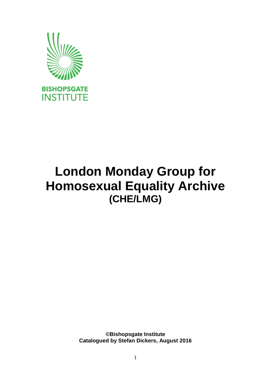

# **London Monday Group for Homosexual Equality Archive (CHE/LMG)**

**©Bishopsgate Institute Catalogued by Stefan Dickers, August 2016**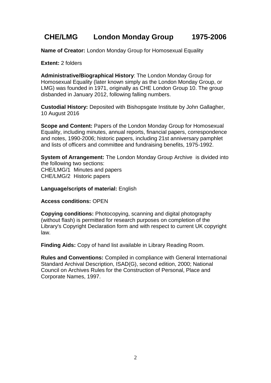## **CHE/LMG London Monday Group 1975-2006**

**Name of Creator:** London Monday Group for Homosexual Equality

**Extent:** 2 folders

**Administrative/Biographical History**: The London Monday Group for Homosexual Equality (later known simply as the London Monday Group, or LMG) was founded in 1971, originally as CHE London Group 10. The group disbanded in January 2012, following falling numbers.

**Custodial History:** Deposited with Bishopsgate Institute by John Gallagher, 10 August 2016

**Scope and Content:** Papers of the London Monday Group for Homosexual Equality, including minutes, annual reports, financial papers, correspondence and notes, 1990-2006; historic papers, including 21st anniversary pamphlet and lists of officers and committee and fundraising benefits, 1975-1992.

**System of Arrangement:** The London Monday Group Archive is divided into the following two sections: CHE/LMG/1 Minutes and papers CHE/LMG/2 Historic papers

**Language/scripts of material:** English

#### **Access conditions:** OPEN

**Copying conditions:** Photocopying, scanning and digital photography (without flash) is permitted for research purposes on completion of the Library's Copyright Declaration form and with respect to current UK copyright law.

**Finding Aids:** Copy of hand list available in Library Reading Room.

**Rules and Conventions:** Compiled in compliance with General International Standard Archival Description, ISAD(G), second edition, 2000; National Council on Archives Rules for the Construction of Personal, Place and Corporate Names, 1997.